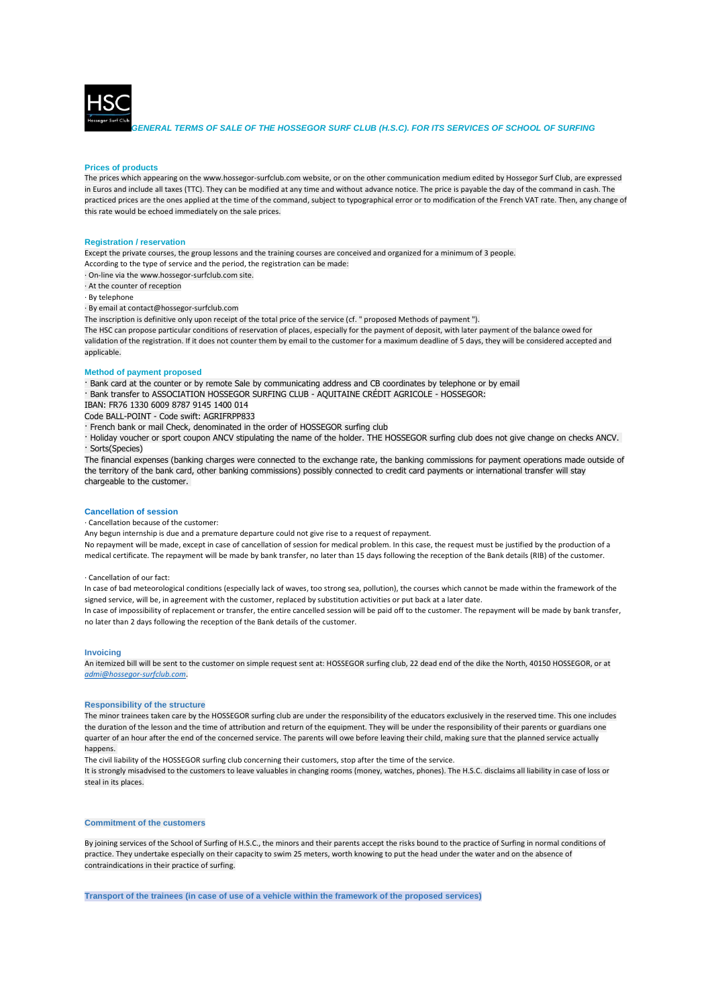

*GENERAL TERMS OF SALE OF THE HOSSEGOR SURF CLUB (H.S.C). FOR ITS SERVICES OF SCHOOL OF SURFING*

### **Prices of products**

The prices which appearing on the www.hossegor-surfclub.com website, or on the other communication medium edited by Hossegor Surf Club, are expressed in Euros and include all taxes (TTC). They can be modified at any time and without advance notice. The price is payable the day of the command in cash. The practiced prices are the ones applied at the time of the command, subject to typographical error or to modification of the French VAT rate. Then, any change of this rate would be echoed immediately on the sale prices.

#### **Registration / reservation**

Except the private courses, the group lessons and the training courses are conceived and organized for a minimum of 3 people.

According to the type of service and the period, the registration can be made:

· On-line via the www.hossegor-surfclub.com site.

· At the counter of reception

· By telephone

· By email at contact@hossegor-surfclub.com

The inscription is definitive only upon receipt of the total price of the service (cf. " proposed Methods of payment ").

The HSC can propose particular conditions of reservation of places, especially for the payment of deposit, with later payment of the balance owed for validation of the registration. If it does not counter them by email to the customer for a maximum deadline of 5 days, they will be considered accepted and applicable

# **Method of payment proposed**

· Bank card at the counter or by remote Sale by communicating address and CB coordinates by telephone or by email · Bank transfer to ASSOCIATION HOSSEGOR SURFING CLUB - AQUITAINE CRÉDIT AGRICOLE - HOSSEGOR:

IBAN: FR76 1330 6009 8787 9145 1400 014 Code BALL-POINT - Code swift: AGRIFRPP833

- · French bank or mail Check, denominated in the order of HOSSEGOR surfing club
- · Holiday voucher or sport coupon ANCV stipulating the name of the holder. THE HOSSEGOR surfing club does not give change on checks ANCV. · Sorts(Species)

The financial expenses (banking charges were connected to the exchange rate, the banking commissions for payment operations made outside of the territory of the bank card, other banking commissions) possibly connected to credit card payments or international transfer will stay chargeable to the customer.

#### **Cancellation of session**

· Cancellation because of the customer:

Any begun internship is due and a premature departure could not give rise to a request of repayment.

No repayment will be made, except in case of cancellation of session for medical problem. In this case, the request must be justified by the production of a medical certificate. The repayment will be made by bank transfer, no later than 15 days following the reception of the Bank details (RIB) of the customer.

#### · Cancellation of our fact:

In case of bad meteorological conditions (especially lack of waves, too strong sea, pollution), the courses which cannot be made within the framework of the signed service, will be, in agreement with the customer, replaced by substitution activities or put back at a later date. In case of impossibility of replacement or transfer, the entire cancelled session will be paid off to the customer. The repayment will be made by bank transfer,

no later than 2 days following the reception of the Bank details of the customer.

## **Invoicing**

An itemized bill will be sent to the customer on simple request sent at: HOSSEGOR surfing club, 22 dead end of the dike the North, 40150 HOSSEGOR, or at *[admi@hossegor-surfclub.com](mailto:admi@hossegor-surfclub.com)*.

## **Responsibility of the structure**

The minor trainees taken care by the HOSSEGOR surfing club are under the responsibility of the educators exclusively in the reserved time. This one includes the duration of the lesson and the time of attribution and return of the equipment. They will be under the responsibility of their parents or guardians one quarter of an hour after the end of the concerned service. The parents will owe before leaving their child, making sure that the planned service actually happens.

The civil liability of the HOSSEGOR surfing club concerning their customers, stop after the time of the service.

It is strongly misadvised to the customers to leave valuables in changing rooms (money, watches, phones). The H.S.C. disclaims all liability in case of loss or steal in its places.

# **Commitment of the customers**

By joining services of the School of Surfing of H.S.C., the minors and their parents accept the risks bound to the practice of Surfing in normal conditions of practice. They undertake especially on their capacity to swim 25 meters, worth knowing to put the head under the water and on the absence of contraindications in their practice of surfing.

**Transport of the trainees (in case of use of a vehicle within the framework of the proposed services)**